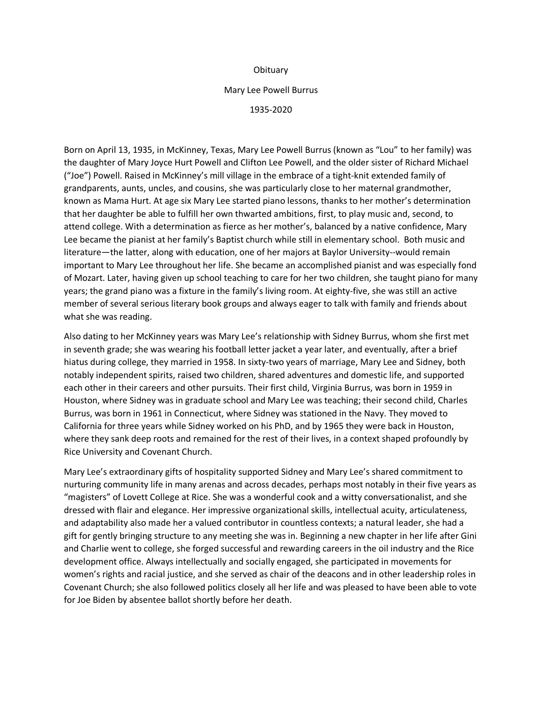## **Obituary**

## Mary Lee Powell Burrus

## 1935-2020

Born on April 13, 1935, in McKinney, Texas, Mary Lee Powell Burrus (known as "Lou" to her family) was the daughter of Mary Joyce Hurt Powell and Clifton Lee Powell, and the older sister of Richard Michael ("Joe") Powell. Raised in McKinney's mill village in the embrace of a tight-knit extended family of grandparents, aunts, uncles, and cousins, she was particularly close to her maternal grandmother, known as Mama Hurt. At age six Mary Lee started piano lessons, thanks to her mother's determination that her daughter be able to fulfill her own thwarted ambitions, first, to play music and, second, to attend college. With a determination as fierce as her mother's, balanced by a native confidence, Mary Lee became the pianist at her family's Baptist church while still in elementary school. Both music and literature—the latter, along with education, one of her majors at Baylor University--would remain important to Mary Lee throughout her life. She became an accomplished pianist and was especially fond of Mozart. Later, having given up school teaching to care for her two children, she taught piano for many years; the grand piano was a fixture in the family's living room. At eighty-five, she was still an active member of several serious literary book groups and always eager to talk with family and friends about what she was reading.

Also dating to her McKinney years was Mary Lee's relationship with Sidney Burrus, whom she first met in seventh grade; she was wearing his football letter jacket a year later, and eventually, after a brief hiatus during college, they married in 1958. In sixty-two years of marriage, Mary Lee and Sidney, both notably independent spirits, raised two children, shared adventures and domestic life, and supported each other in their careers and other pursuits. Their first child, Virginia Burrus, was born in 1959 in Houston, where Sidney was in graduate school and Mary Lee was teaching; their second child, Charles Burrus, was born in 1961 in Connecticut, where Sidney was stationed in the Navy. They moved to California for three years while Sidney worked on his PhD, and by 1965 they were back in Houston, where they sank deep roots and remained for the rest of their lives, in a context shaped profoundly by Rice University and Covenant Church.

Mary Lee's extraordinary gifts of hospitality supported Sidney and Mary Lee's shared commitment to nurturing community life in many arenas and across decades, perhaps most notably in their five years as "magisters" of Lovett College at Rice. She was a wonderful cook and a witty conversationalist, and she dressed with flair and elegance. Her impressive organizational skills, intellectual acuity, articulateness, and adaptability also made her a valued contributor in countless contexts; a natural leader, she had a gift for gently bringing structure to any meeting she was in. Beginning a new chapter in her life after Gini and Charlie went to college, she forged successful and rewarding careers in the oil industry and the Rice development office. Always intellectually and socially engaged, she participated in movements for women's rights and racial justice, and she served as chair of the deacons and in other leadership roles in Covenant Church; she also followed politics closely all her life and was pleased to have been able to vote for Joe Biden by absentee ballot shortly before her death.